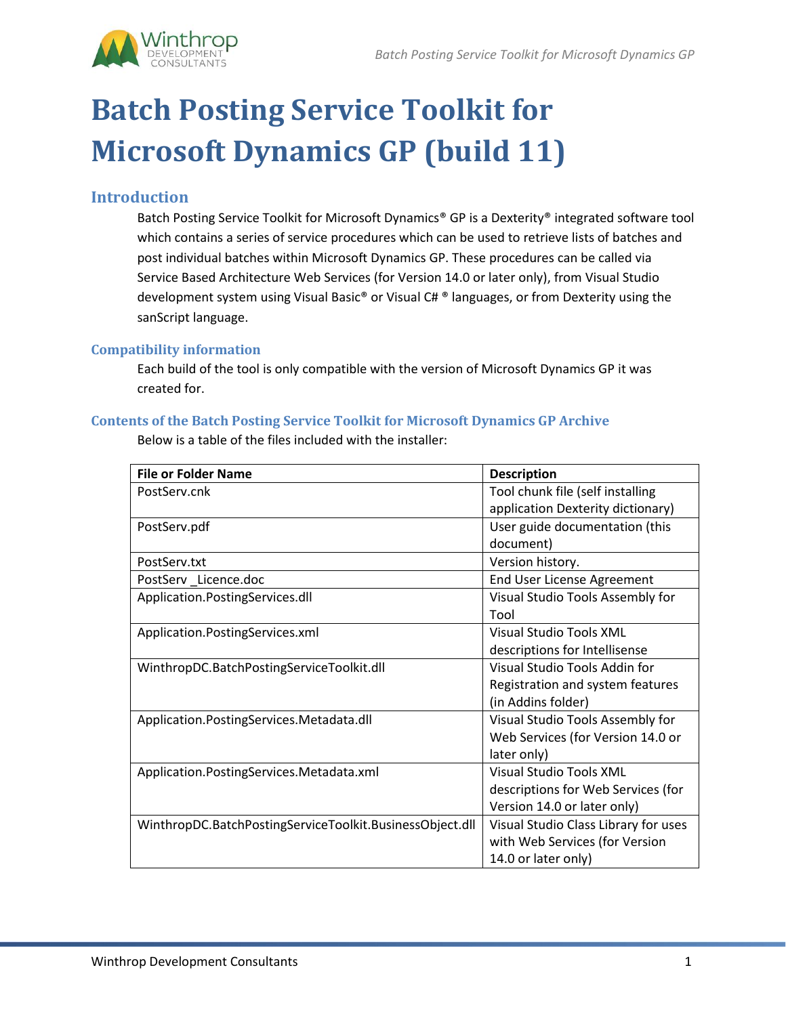

# **Batch Posting Service Toolkit for Microsoft Dynamics GP (build 11)**

## **Introduction**

Batch Posting Service Toolkit for Microsoft Dynamics® GP is a Dexterity® integrated software tool which contains a series of service procedures which can be used to retrieve lists of batches and post individual batches within Microsoft Dynamics GP. These procedures can be called via Service Based Architecture Web Services (for Version 14.0 or later only), from Visual Studio development system using Visual Basic® or Visual C# ® languages, or from Dexterity using the sanScript language.

## **Compatibility information**

Each build of the tool is only compatible with the version of Microsoft Dynamics GP it was created for.

## **Contents of the Batch Posting Service Toolkit for Microsoft Dynamics GP Archive**

**File or Folder Name Description** PostServ.cnk Tool chunk file (self installing application Dexterity dictionary) PostServ.pdf User guide documentation (this document) PostServ.txt **Version history.** PostServ Licence.doc End User License Agreement Application.PostingServices.dll Visual Studio Tools Assembly for Tool Application.PostingServices.xml Visual Studio Tools XML descriptions for Intellisense WinthropDC.BatchPostingServiceToolkit.dll Visual Studio Tools Addin for Registration and system features (in Addins folder) Application.PostingServices.Metadata.dll Visual Studio Tools Assembly for Web Services (for Version 14.0 or later only) Application.PostingServices.Metadata.xml Visual Studio Tools XML descriptions for Web Services (for Version 14.0 or later only) WinthropDC.BatchPostingServiceToolkit.BusinessObject.dll | Visual Studio Class Library for uses with Web Services (for Version 14.0 or later only)

Below is a table of the files included with the installer: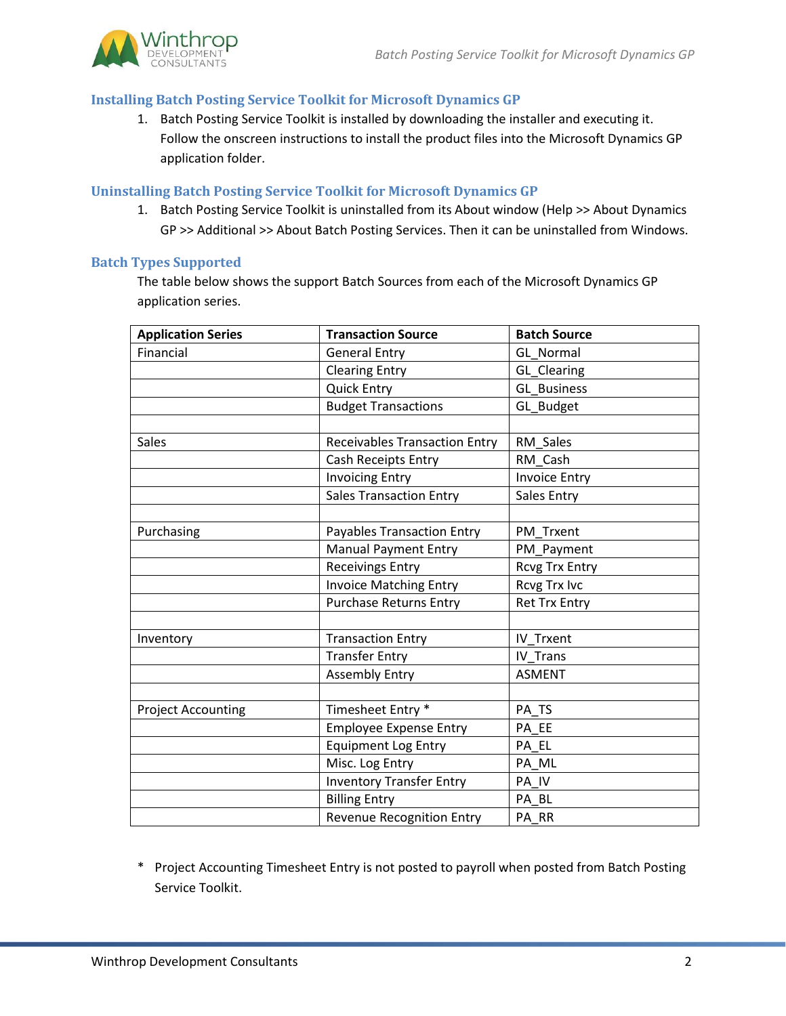

## **Installing Batch Posting Service Toolkit for Microsoft Dynamics GP**

1. Batch Posting Service Toolkit is installed by downloading the installer and executing it. Follow the onscreen instructions to install the product files into the Microsoft Dynamics GP application folder.

#### **Uninstalling Batch Posting Service Toolkit for Microsoft Dynamics GP**

1. Batch Posting Service Toolkit is uninstalled from its About window (Help >> About Dynamics GP >> Additional >> About Batch Posting Services. Then it can be uninstalled from Windows.

#### **Batch Types Supported**

The table below shows the support Batch Sources from each of the Microsoft Dynamics GP application series.

| <b>Application Series</b> | <b>Transaction Source</b>            | <b>Batch Source</b>   |
|---------------------------|--------------------------------------|-----------------------|
| Financial                 | <b>General Entry</b>                 | <b>GL Normal</b>      |
|                           | <b>Clearing Entry</b>                | <b>GL</b> Clearing    |
|                           | <b>Quick Entry</b>                   | <b>GL Business</b>    |
|                           | <b>Budget Transactions</b>           | GL_Budget             |
|                           |                                      |                       |
| <b>Sales</b>              | <b>Receivables Transaction Entry</b> | RM Sales              |
|                           | Cash Receipts Entry                  | RM Cash               |
|                           | <b>Invoicing Entry</b>               | <b>Invoice Entry</b>  |
|                           | <b>Sales Transaction Entry</b>       | Sales Entry           |
|                           |                                      |                       |
| Purchasing                | <b>Payables Transaction Entry</b>    | PM Trxent             |
|                           | <b>Manual Payment Entry</b>          | PM_Payment            |
|                           | <b>Receivings Entry</b>              | <b>Rcvg Trx Entry</b> |
|                           | <b>Invoice Matching Entry</b>        | <b>Rcvg Trx Ivc</b>   |
|                           | <b>Purchase Returns Entry</b>        | <b>Ret Trx Entry</b>  |
|                           |                                      |                       |
| Inventory                 | <b>Transaction Entry</b>             | IV Trxent             |
|                           | <b>Transfer Entry</b>                | IV Trans              |
|                           | <b>Assembly Entry</b>                | <b>ASMENT</b>         |
|                           |                                      |                       |
| <b>Project Accounting</b> | Timesheet Entry *                    | PA TS                 |
|                           | <b>Employee Expense Entry</b>        | PA EE                 |
|                           | <b>Equipment Log Entry</b>           | PA EL                 |
|                           | Misc. Log Entry                      | PA ML                 |
|                           | <b>Inventory Transfer Entry</b>      | PA IV                 |
|                           | <b>Billing Entry</b>                 | PA BL                 |
|                           | Revenue Recognition Entry            | PA RR                 |

\* Project Accounting Timesheet Entry is not posted to payroll when posted from Batch Posting Service Toolkit.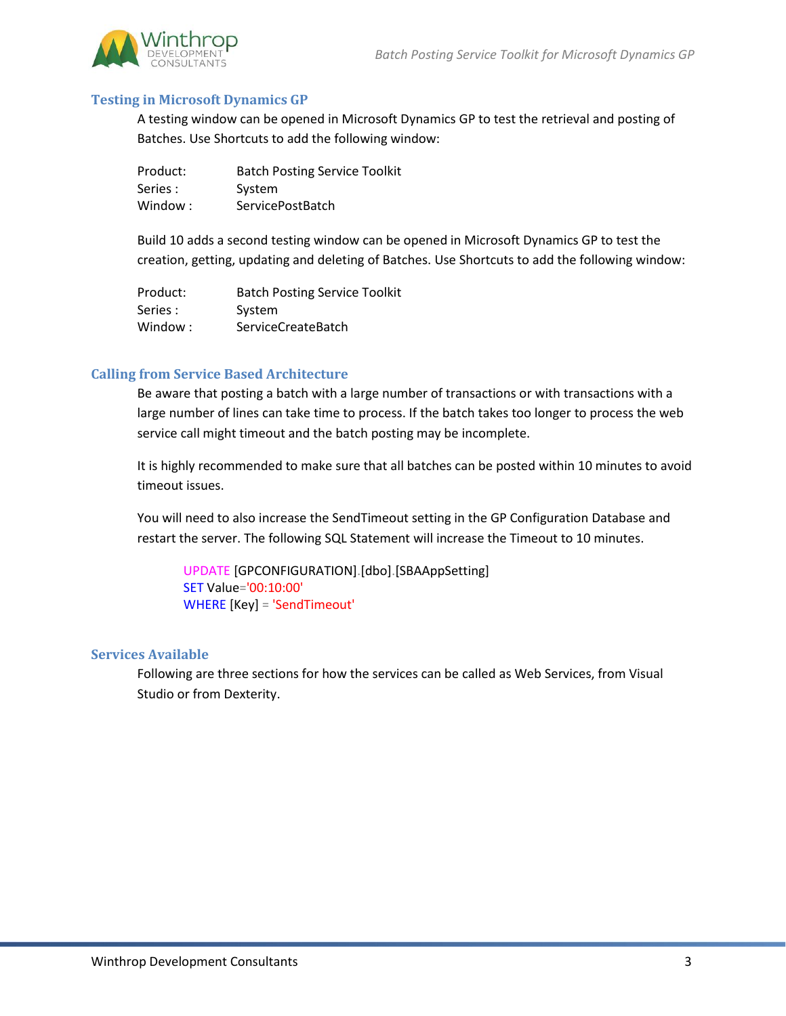

#### **Testing in Microsoft Dynamics GP**

A testing window can be opened in Microsoft Dynamics GP to test the retrieval and posting of Batches. Use Shortcuts to add the following window:

| Product: | <b>Batch Posting Service Toolkit</b> |
|----------|--------------------------------------|
| Series : | System                               |
| Window:  | ServicePostBatch                     |

Build 10 adds a second testing window can be opened in Microsoft Dynamics GP to test the creation, getting, updating and deleting of Batches. Use Shortcuts to add the following window:

| Product: | <b>Batch Posting Service Toolkit</b> |
|----------|--------------------------------------|
| Series : | System                               |
| Window:  | <b>ServiceCreateBatch</b>            |

## **Calling from Service Based Architecture**

Be aware that posting a batch with a large number of transactions or with transactions with a large number of lines can take time to process. If the batch takes too longer to process the web service call might timeout and the batch posting may be incomplete.

It is highly recommended to make sure that all batches can be posted within 10 minutes to avoid timeout issues.

You will need to also increase the SendTimeout setting in the GP Configuration Database and restart the server. The following SQL Statement will increase the Timeout to 10 minutes.

UPDATE [GPCONFIGURATION].[dbo].[SBAAppSetting] SET Value='00:10:00' WHERE [Key] = 'SendTimeout'

#### **Services Available**

Following are three sections for how the services can be called as Web Services, from Visual Studio or from Dexterity.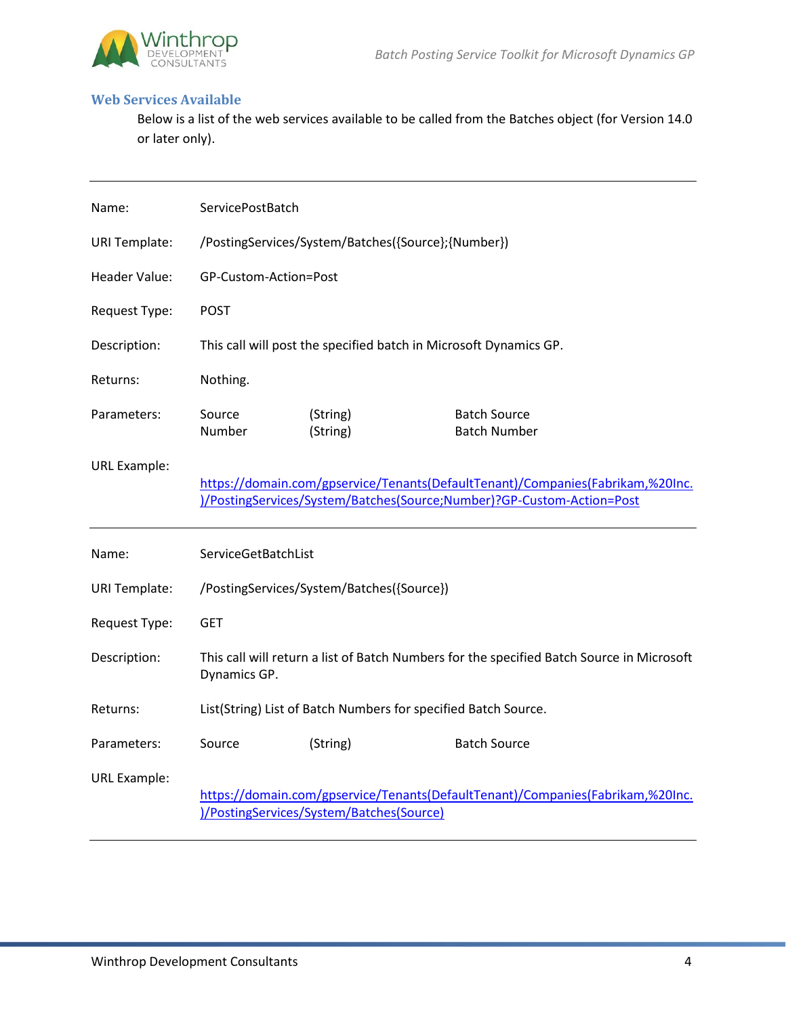

#### **Web Services Available**

Below is a list of the web services available to be called from the Batches object (for Version 14.0 or later only).

| Name:                | ServicePostBatch      |                                                                                           |                                                                                                                                                         |
|----------------------|-----------------------|-------------------------------------------------------------------------------------------|---------------------------------------------------------------------------------------------------------------------------------------------------------|
| <b>URI Template:</b> |                       | /PostingServices/System/Batches({Source}; {Number})                                       |                                                                                                                                                         |
| <b>Header Value:</b> | GP-Custom-Action=Post |                                                                                           |                                                                                                                                                         |
| Request Type:        | <b>POST</b>           |                                                                                           |                                                                                                                                                         |
| Description:         |                       | This call will post the specified batch in Microsoft Dynamics GP.                         |                                                                                                                                                         |
| Returns:             | Nothing.              |                                                                                           |                                                                                                                                                         |
| Parameters:          | Source<br>Number      | (String)<br>(String)                                                                      | <b>Batch Source</b><br><b>Batch Number</b>                                                                                                              |
| <b>URL Example:</b>  |                       |                                                                                           | https://domain.com/gpservice/Tenants(DefaultTenant)/Companies(Fabrikam,%20Inc.<br>)/PostingServices/System/Batches(Source;Number)?GP-Custom-Action=Post |
| Name:                | ServiceGetBatchList   |                                                                                           |                                                                                                                                                         |
| <b>URI Template:</b> |                       | /PostingServices/System/Batches({Source})                                                 |                                                                                                                                                         |
| Request Type:        | <b>GET</b>            |                                                                                           |                                                                                                                                                         |
| Description:         |                       | This call will return a list of Batch Numbers for the specified Batch Source in Microsoft |                                                                                                                                                         |
|                      | Dynamics GP.          |                                                                                           |                                                                                                                                                         |
| Returns:             |                       | List(String) List of Batch Numbers for specified Batch Source.                            |                                                                                                                                                         |
| Parameters:          | Source                | (String)                                                                                  | <b>Batch Source</b>                                                                                                                                     |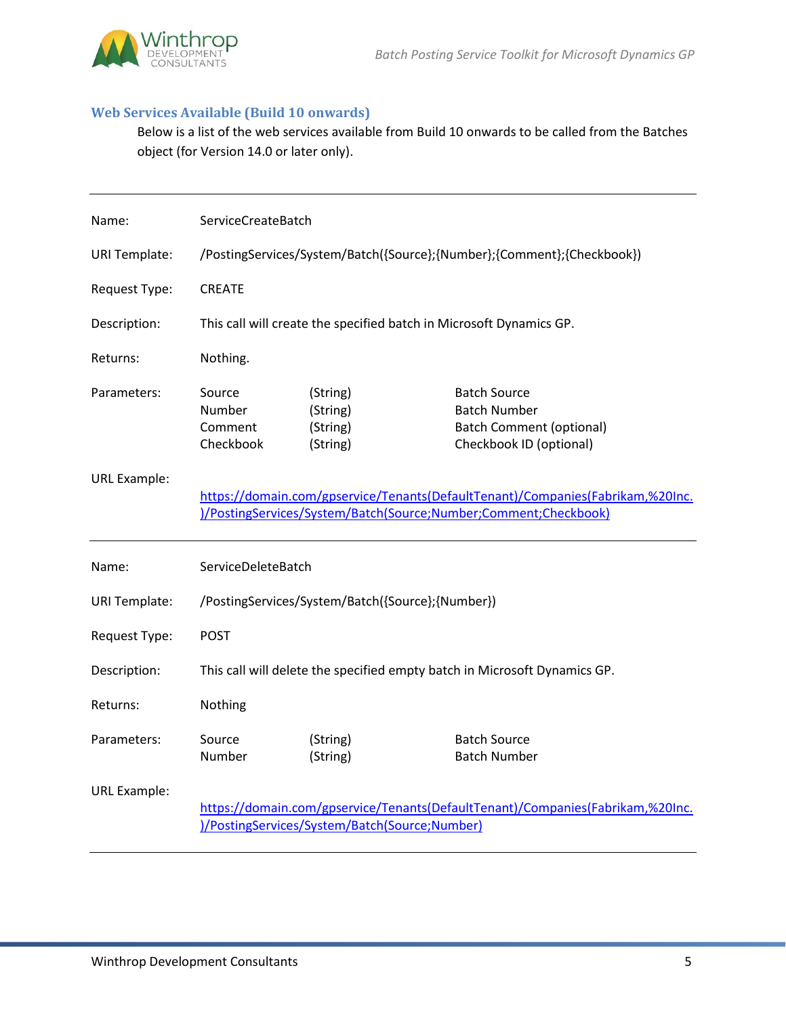

## **Web Services Available (Build 10 onwards)**

Below is a list of the web services available from Build 10 onwards to be called from the Batches object (for Version 14.0 or later only).

| Name:                | ServiceCreateBatch                       |                                                                     |                                                                                                                                                   |
|----------------------|------------------------------------------|---------------------------------------------------------------------|---------------------------------------------------------------------------------------------------------------------------------------------------|
| <b>URI Template:</b> |                                          |                                                                     | /PostingServices/System/Batch({Source};{Number};{Comment};{Checkbook})                                                                            |
| Request Type:        | <b>CREATE</b>                            |                                                                     |                                                                                                                                                   |
| Description:         |                                          | This call will create the specified batch in Microsoft Dynamics GP. |                                                                                                                                                   |
| Returns:             | Nothing.                                 |                                                                     |                                                                                                                                                   |
| Parameters:          | Source<br>Number<br>Comment<br>Checkbook | (String)<br>(String)<br>(String)<br>(String)                        | <b>Batch Source</b><br><b>Batch Number</b><br><b>Batch Comment (optional)</b><br>Checkbook ID (optional)                                          |
| <b>URL Example:</b>  |                                          |                                                                     | https://domain.com/gpservice/Tenants(DefaultTenant)/Companies(Fabrikam,%20Inc.<br>)/PostingServices/System/Batch(Source;Number;Comment;Checkbook) |
| Name:                | ServiceDeleteBatch                       |                                                                     |                                                                                                                                                   |
| <b>URI Template:</b> |                                          | /PostingServices/System/Batch({Source};{Number})                    |                                                                                                                                                   |
| Request Type:        | <b>POST</b>                              |                                                                     |                                                                                                                                                   |
| Description:         |                                          |                                                                     | This call will delete the specified empty batch in Microsoft Dynamics GP.                                                                         |
| Returns:             | Nothing                                  |                                                                     |                                                                                                                                                   |
| Parameters:          | Source<br>Number                         | (String)<br>(String)                                                | <b>Batch Source</b><br><b>Batch Number</b>                                                                                                        |
| <b>URL Example:</b>  |                                          | )/PostingServices/System/Batch(Source;Number)                       | https://domain.com/gpservice/Tenants(DefaultTenant)/Companies(Fabrikam,%20Inc.                                                                    |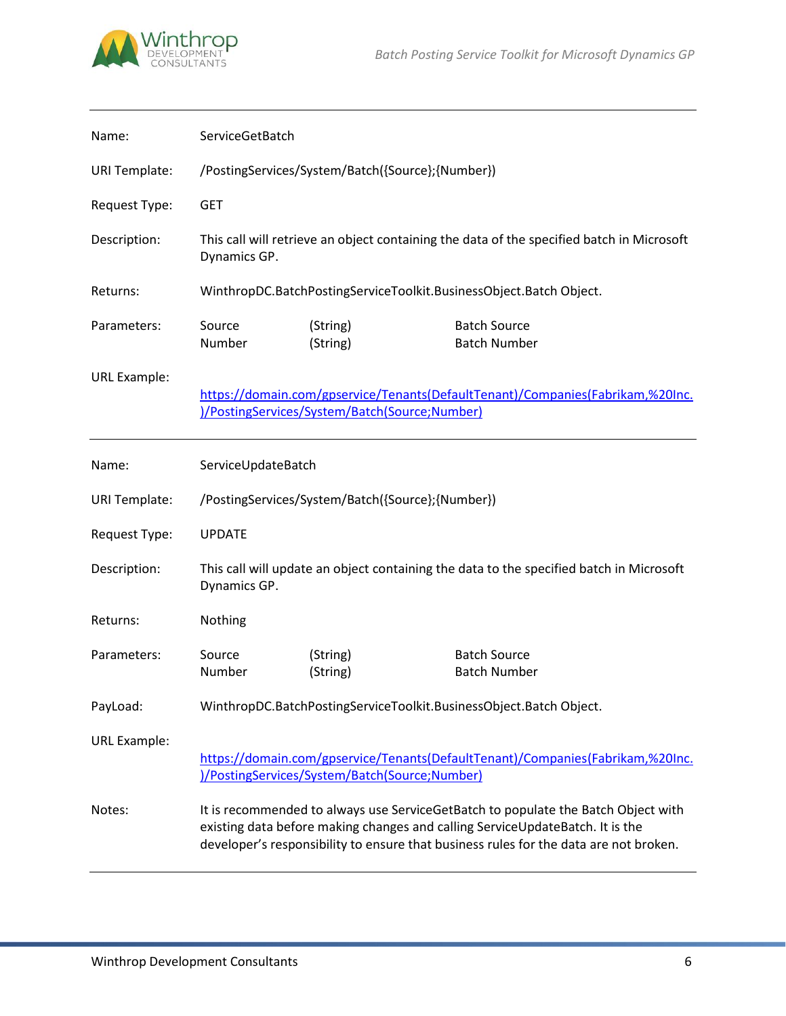

| Name:                | ServiceGetBatch    |                                                  |                                                                                                                                                                                                                                                             |
|----------------------|--------------------|--------------------------------------------------|-------------------------------------------------------------------------------------------------------------------------------------------------------------------------------------------------------------------------------------------------------------|
| <b>URI Template:</b> |                    | /PostingServices/System/Batch({Source};{Number}) |                                                                                                                                                                                                                                                             |
| Request Type:        | <b>GET</b>         |                                                  |                                                                                                                                                                                                                                                             |
| Description:         | Dynamics GP.       |                                                  | This call will retrieve an object containing the data of the specified batch in Microsoft                                                                                                                                                                   |
| Returns:             |                    |                                                  | WinthropDC.BatchPostingServiceToolkit.BusinessObject.Batch Object.                                                                                                                                                                                          |
| Parameters:          | Source<br>Number   | (String)<br>(String)                             | <b>Batch Source</b><br><b>Batch Number</b>                                                                                                                                                                                                                  |
| <b>URL Example:</b>  |                    | )/PostingServices/System/Batch(Source;Number)    | https://domain.com/gpservice/Tenants(DefaultTenant)/Companies(Fabrikam,%20Inc.                                                                                                                                                                              |
| Name:                | ServiceUpdateBatch |                                                  |                                                                                                                                                                                                                                                             |
| <b>URI Template:</b> |                    | /PostingServices/System/Batch({Source};{Number}) |                                                                                                                                                                                                                                                             |
| Request Type:        | <b>UPDATE</b>      |                                                  |                                                                                                                                                                                                                                                             |
| Description:         | Dynamics GP.       |                                                  | This call will update an object containing the data to the specified batch in Microsoft                                                                                                                                                                     |
| Returns:             | Nothing            |                                                  |                                                                                                                                                                                                                                                             |
| Parameters:          | Source<br>Number   | (String)<br>(String)                             | <b>Batch Source</b><br><b>Batch Number</b>                                                                                                                                                                                                                  |
| PayLoad:             |                    |                                                  | WinthropDC.BatchPostingServiceToolkit.BusinessObject.Batch Object.                                                                                                                                                                                          |
| <b>URL Example:</b>  |                    |                                                  |                                                                                                                                                                                                                                                             |
|                      |                    | )/PostingServices/System/Batch(Source;Number)    | https://domain.com/gpservice/Tenants(DefaultTenant)/Companies(Fabrikam,%20Inc.                                                                                                                                                                              |
| Notes:               |                    |                                                  | It is recommended to always use ServiceGetBatch to populate the Batch Object with<br>existing data before making changes and calling ServiceUpdateBatch. It is the<br>developer's responsibility to ensure that business rules for the data are not broken. |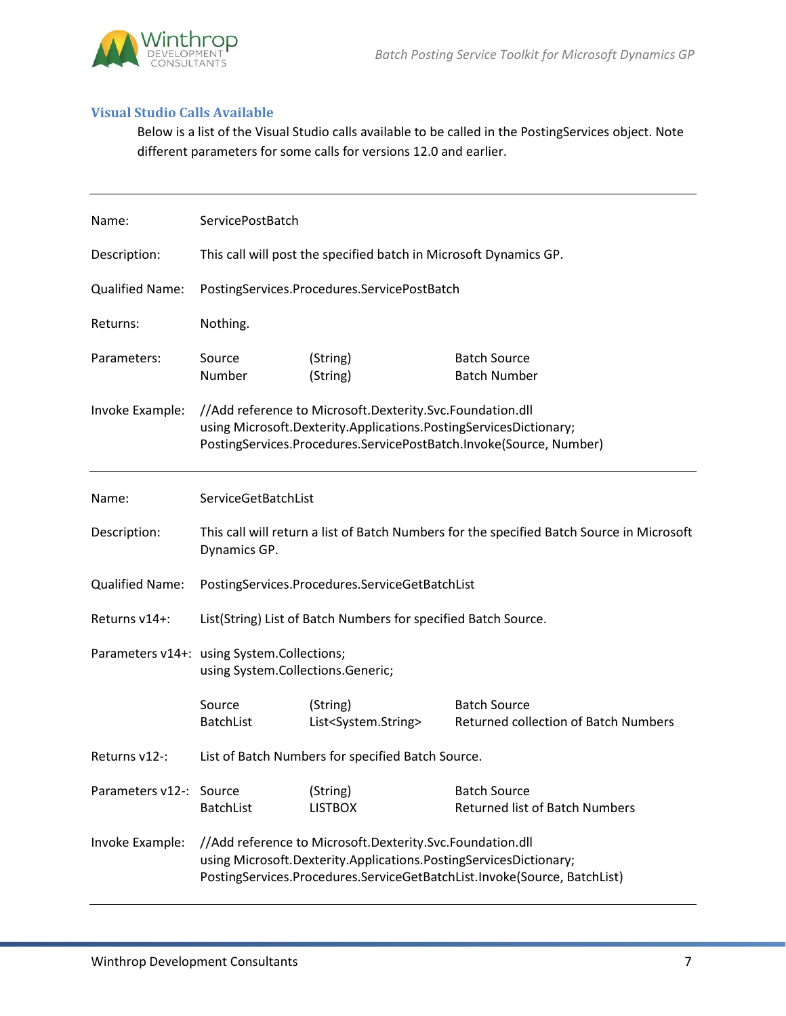

#### **Visual Studio Calls Available**

Below is a list of the Visual Studio calls available to be called in the PostingServices object. Note different parameters for some calls for versions 12.0 and earlier.

| Name:                   | ServicePostBatch                                                                |                                                                                                                                |                                                                                           |
|-------------------------|---------------------------------------------------------------------------------|--------------------------------------------------------------------------------------------------------------------------------|-------------------------------------------------------------------------------------------|
| Description:            |                                                                                 | This call will post the specified batch in Microsoft Dynamics GP.                                                              |                                                                                           |
| <b>Qualified Name:</b>  |                                                                                 | PostingServices.Procedures.ServicePostBatch                                                                                    |                                                                                           |
| Returns:                | Nothing.                                                                        |                                                                                                                                |                                                                                           |
| Parameters:             | Source<br>Number                                                                | (String)<br>(String)                                                                                                           | <b>Batch Source</b><br><b>Batch Number</b>                                                |
| Invoke Example:         |                                                                                 | //Add reference to Microsoft.Dexterity.Svc.Foundation.dll<br>using Microsoft.Dexterity.Applications.PostingServicesDictionary; | PostingServices.Procedures.ServicePostBatch.Invoke(Source, Number)                        |
| Name:                   | ServiceGetBatchList                                                             |                                                                                                                                |                                                                                           |
| Description:            | Dynamics GP.                                                                    |                                                                                                                                | This call will return a list of Batch Numbers for the specified Batch Source in Microsoft |
| <b>Qualified Name:</b>  |                                                                                 | PostingServices.Procedures.ServiceGetBatchList                                                                                 |                                                                                           |
| Returns v14+:           |                                                                                 | List(String) List of Batch Numbers for specified Batch Source.                                                                 |                                                                                           |
|                         | Parameters v14+: using System.Collections;<br>using System.Collections.Generic; |                                                                                                                                |                                                                                           |
|                         | Source<br><b>BatchList</b>                                                      | (String)<br>List <system.string></system.string>                                                                               | <b>Batch Source</b><br><b>Returned collection of Batch Numbers</b>                        |
| Returns v12-:           |                                                                                 | List of Batch Numbers for specified Batch Source.                                                                              |                                                                                           |
| Parameters v12-: Source | <b>BatchList</b>                                                                | (String)<br><b>LISTBOX</b>                                                                                                     | <b>Batch Source</b><br><b>Returned list of Batch Numbers</b>                              |
| Invoke Example:         |                                                                                 | //Add reference to Microsoft.Dexterity.Svc.Foundation.dll<br>using Microsoft.Dexterity.Applications.PostingServicesDictionary; | PostingServices.Procedures.ServiceGetBatchList.Invoke(Source, BatchList)                  |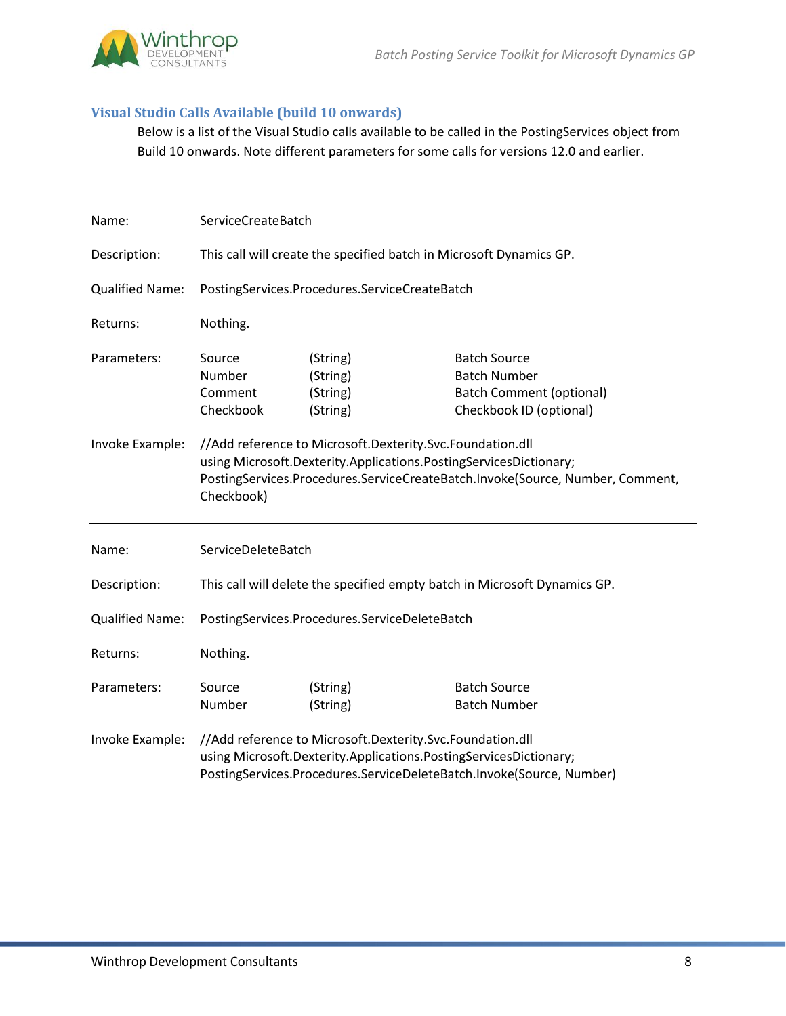

## **Visual Studio Calls Available (build 10 onwards)**

Below is a list of the Visual Studio calls available to be called in the PostingServices object from Build 10 onwards. Note different parameters for some calls for versions 12.0 and earlier.

| Name:                  | ServiceCreateBatch                       |                                                                                                                                |                                                                                                          |
|------------------------|------------------------------------------|--------------------------------------------------------------------------------------------------------------------------------|----------------------------------------------------------------------------------------------------------|
| Description:           |                                          | This call will create the specified batch in Microsoft Dynamics GP.                                                            |                                                                                                          |
| <b>Qualified Name:</b> |                                          | PostingServices.Procedures.ServiceCreateBatch                                                                                  |                                                                                                          |
| Returns:               | Nothing.                                 |                                                                                                                                |                                                                                                          |
| Parameters:            | Source<br>Number<br>Comment<br>Checkbook | (String)<br>(String)<br>(String)<br>(String)                                                                                   | <b>Batch Source</b><br><b>Batch Number</b><br><b>Batch Comment (optional)</b><br>Checkbook ID (optional) |
| Invoke Example:        | Checkbook)                               | //Add reference to Microsoft.Dexterity.Svc.Foundation.dll<br>using Microsoft.Dexterity.Applications.PostingServicesDictionary; | PostingServices.Procedures.ServiceCreateBatch.Invoke(Source, Number, Comment,                            |
| Name:                  | ServiceDeleteBatch                       |                                                                                                                                |                                                                                                          |
| Description:           |                                          |                                                                                                                                | This call will delete the specified empty batch in Microsoft Dynamics GP.                                |
| <b>Qualified Name:</b> |                                          | PostingServices.Procedures.ServiceDeleteBatch                                                                                  |                                                                                                          |
| Returns:               | Nothing.                                 |                                                                                                                                |                                                                                                          |
| Parameters:            | Source<br>Number                         | (String)<br>(String)                                                                                                           | <b>Batch Source</b><br><b>Batch Number</b>                                                               |
| Invoke Example:        |                                          | //Add reference to Microsoft.Dexterity.Svc.Foundation.dll<br>using Microsoft.Dexterity.Applications.PostingServicesDictionary; | PostingServices.Procedures.ServiceDeleteBatch.Invoke(Source, Number)                                     |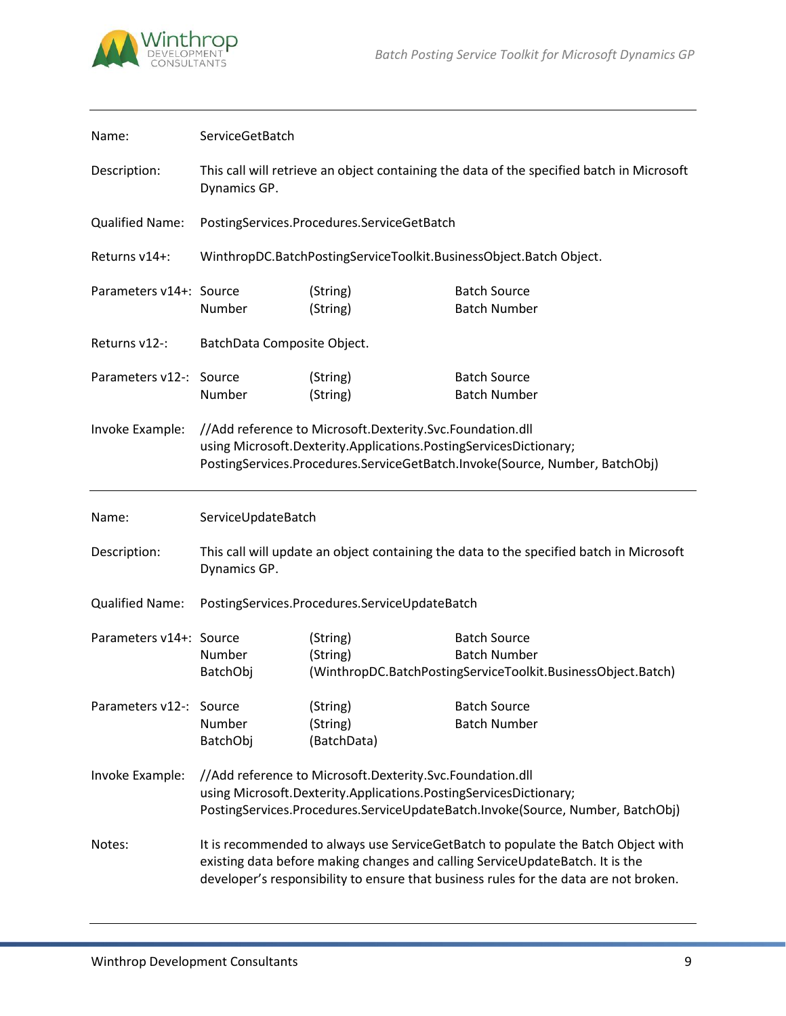

| Name:                   | ServiceGetBatch             |                                                                                                                                |                                                                                                                                                                                                                                                             |
|-------------------------|-----------------------------|--------------------------------------------------------------------------------------------------------------------------------|-------------------------------------------------------------------------------------------------------------------------------------------------------------------------------------------------------------------------------------------------------------|
| Description:            | Dynamics GP.                |                                                                                                                                | This call will retrieve an object containing the data of the specified batch in Microsoft                                                                                                                                                                   |
| <b>Qualified Name:</b>  |                             | PostingServices.Procedures.ServiceGetBatch                                                                                     |                                                                                                                                                                                                                                                             |
| Returns v14+:           |                             |                                                                                                                                | WinthropDC.BatchPostingServiceToolkit.BusinessObject.Batch Object.                                                                                                                                                                                          |
| Parameters v14+: Source | Number                      | (String)<br>(String)                                                                                                           | <b>Batch Source</b><br><b>Batch Number</b>                                                                                                                                                                                                                  |
| Returns v12-:           | BatchData Composite Object. |                                                                                                                                |                                                                                                                                                                                                                                                             |
| Parameters v12-: Source | Number                      | (String)<br>(String)                                                                                                           | <b>Batch Source</b><br><b>Batch Number</b>                                                                                                                                                                                                                  |
| Invoke Example:         |                             | //Add reference to Microsoft.Dexterity.Svc.Foundation.dll<br>using Microsoft.Dexterity.Applications.PostingServicesDictionary; | PostingServices.Procedures.ServiceGetBatch.Invoke(Source, Number, BatchObj)                                                                                                                                                                                 |
| Name:                   | ServiceUpdateBatch          |                                                                                                                                |                                                                                                                                                                                                                                                             |
| Description:            | Dynamics GP.                |                                                                                                                                | This call will update an object containing the data to the specified batch in Microsoft                                                                                                                                                                     |
| <b>Qualified Name:</b>  |                             | PostingServices.Procedures.ServiceUpdateBatch                                                                                  |                                                                                                                                                                                                                                                             |
| Parameters v14+: Source | Number<br>BatchObj          | (String)<br>(String)                                                                                                           | <b>Batch Source</b><br><b>Batch Number</b><br>(WinthropDC.BatchPostingServiceToolkit.BusinessObject.Batch)                                                                                                                                                  |
| Parameters v12-: Source | Number<br>BatchObj          | (String)<br>(String)<br>(BatchData)                                                                                            | <b>Batch Source</b><br><b>Batch Number</b>                                                                                                                                                                                                                  |
| Invoke Example:         |                             | //Add reference to Microsoft.Dexterity.Svc.Foundation.dll<br>using Microsoft.Dexterity.Applications.PostingServicesDictionary; | PostingServices.Procedures.ServiceUpdateBatch.Invoke(Source, Number, BatchObj)                                                                                                                                                                              |
| Notes:                  |                             |                                                                                                                                | It is recommended to always use ServiceGetBatch to populate the Batch Object with<br>existing data before making changes and calling ServiceUpdateBatch. It is the<br>developer's responsibility to ensure that business rules for the data are not broken. |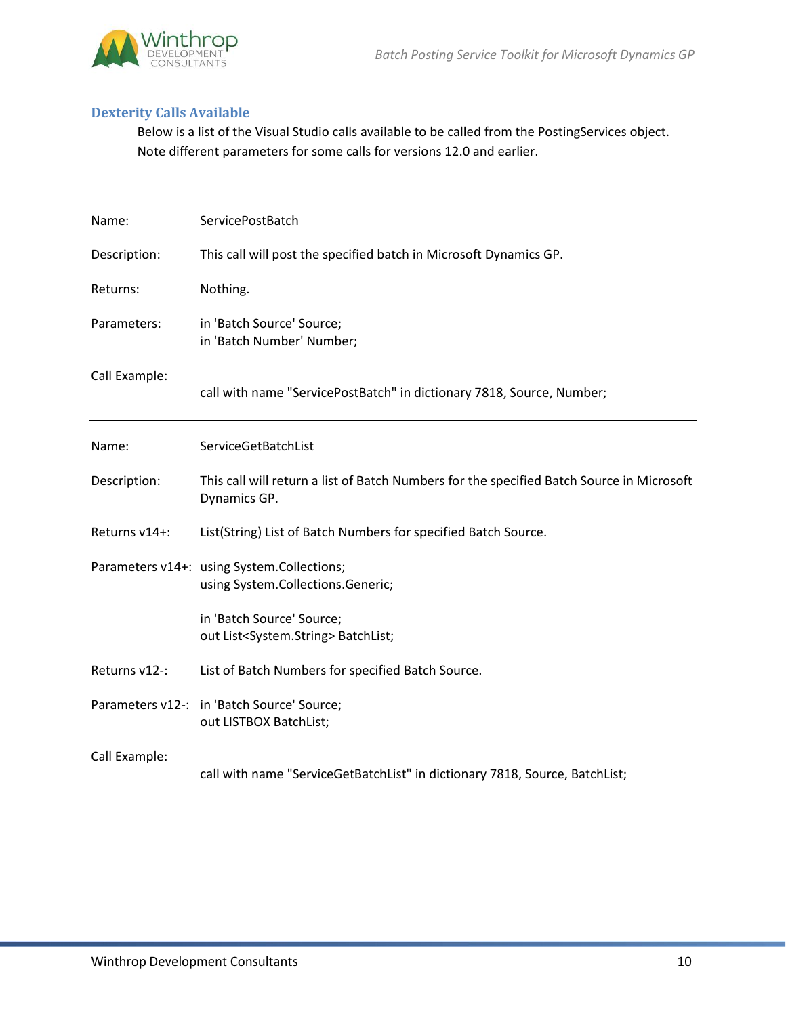

## **Dexterity Calls Available**

Below is a list of the Visual Studio calls available to be called from the PostingServices object. Note different parameters for some calls for versions 12.0 and earlier.

| Name:         | ServicePostBatch                                                                                          |
|---------------|-----------------------------------------------------------------------------------------------------------|
| Description:  | This call will post the specified batch in Microsoft Dynamics GP.                                         |
| Returns:      | Nothing.                                                                                                  |
| Parameters:   | in 'Batch Source' Source;<br>in 'Batch Number' Number;                                                    |
| Call Example: | call with name "ServicePostBatch" in dictionary 7818, Source, Number;                                     |
| Name:         | ServiceGetBatchList                                                                                       |
| Description:  | This call will return a list of Batch Numbers for the specified Batch Source in Microsoft<br>Dynamics GP. |
| Returns v14+: | List(String) List of Batch Numbers for specified Batch Source.                                            |
|               | Parameters v14+: using System.Collections;<br>using System.Collections.Generic;                           |
|               | in 'Batch Source' Source;<br>out List <system.string> BatchList;</system.string>                          |
| Returns v12-: | List of Batch Numbers for specified Batch Source.                                                         |
|               | Parameters v12-: in 'Batch Source' Source;<br>out LISTBOX BatchList;                                      |
| Call Example: | call with name "ServiceGetBatchList" in dictionary 7818, Source, BatchList;                               |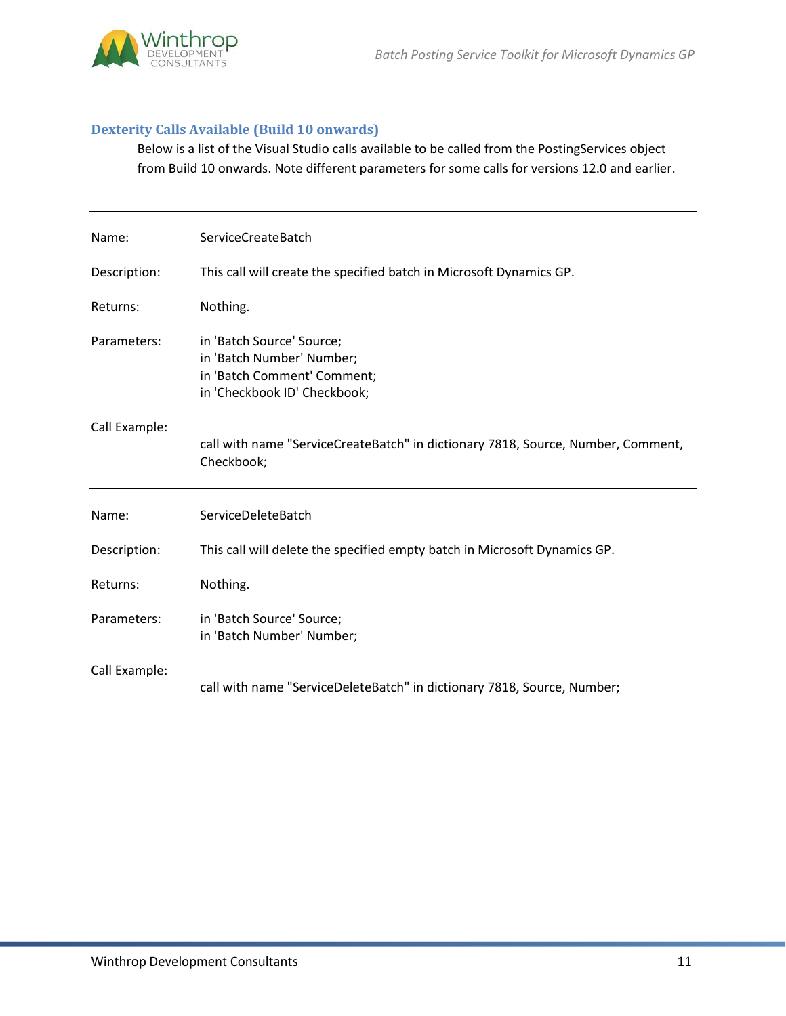

## **Dexterity Calls Available (Build 10 onwards)**

Below is a list of the Visual Studio calls available to be called from the PostingServices object from Build 10 onwards. Note different parameters for some calls for versions 12.0 and earlier.

| Name:         | ServiceCreateBatch                                                                                                    |
|---------------|-----------------------------------------------------------------------------------------------------------------------|
| Description:  | This call will create the specified batch in Microsoft Dynamics GP.                                                   |
| Returns:      | Nothing.                                                                                                              |
| Parameters:   | in 'Batch Source' Source;<br>in 'Batch Number' Number;<br>in 'Batch Comment' Comment;<br>in 'Checkbook ID' Checkbook; |
| Call Example: | call with name "ServiceCreateBatch" in dictionary 7818, Source, Number, Comment,<br>Checkbook;                        |
| Name:         | ServiceDeleteBatch                                                                                                    |
| Description:  | This call will delete the specified empty batch in Microsoft Dynamics GP.                                             |
| Returns:      | Nothing.                                                                                                              |
| Parameters:   | in 'Batch Source' Source;<br>in 'Batch Number' Number;                                                                |
| Call Example: | call with name "ServiceDeleteBatch" in dictionary 7818, Source, Number;                                               |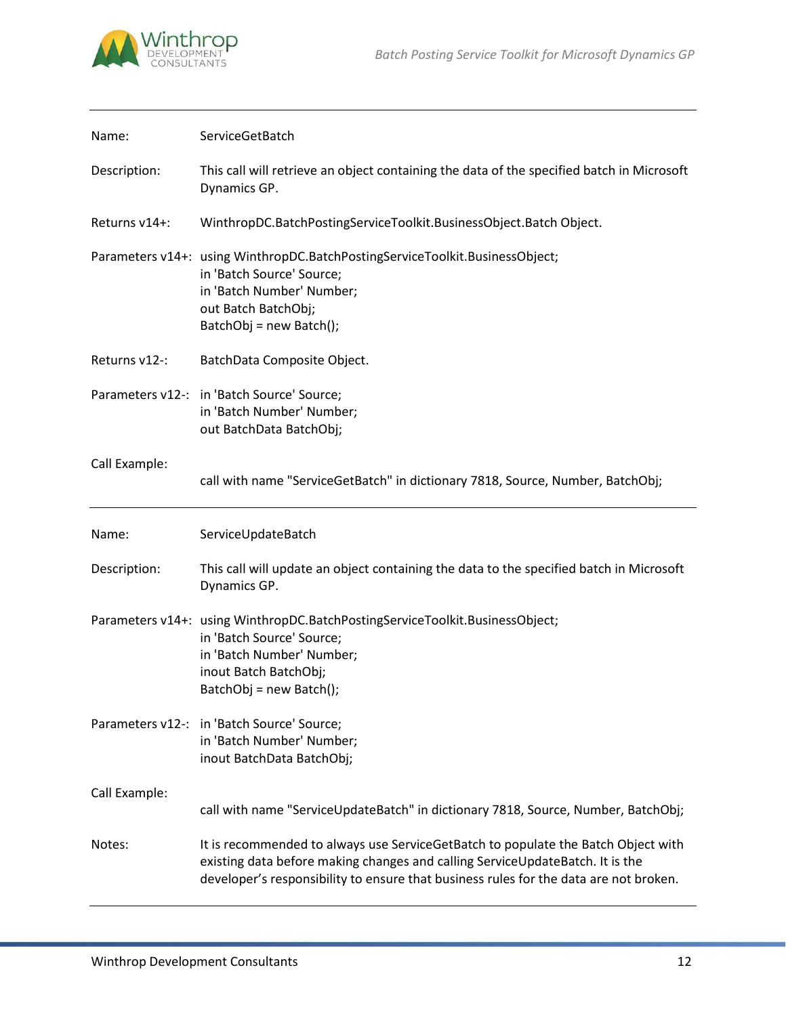

| Name:         | ServiceGetBatch                                                                                                                                                                            |
|---------------|--------------------------------------------------------------------------------------------------------------------------------------------------------------------------------------------|
| Description:  | This call will retrieve an object containing the data of the specified batch in Microsoft<br>Dynamics GP.                                                                                  |
| Returns v14+: | WinthropDC.BatchPostingServiceToolkit.BusinessObject.Batch Object.                                                                                                                         |
|               | Parameters v14+: using WinthropDC.BatchPostingServiceToolkit.BusinessObject;<br>in 'Batch Source' Source;<br>in 'Batch Number' Number;<br>out Batch BatchObj;<br>BatchObj = new Batch();   |
| Returns v12-: | BatchData Composite Object.                                                                                                                                                                |
|               | Parameters v12-: in 'Batch Source' Source;<br>in 'Batch Number' Number;<br>out BatchData BatchObj;                                                                                         |
| Call Example: | call with name "ServiceGetBatch" in dictionary 7818, Source, Number, BatchObj;                                                                                                             |
|               |                                                                                                                                                                                            |
| Name:         | ServiceUpdateBatch                                                                                                                                                                         |
| Description:  | This call will update an object containing the data to the specified batch in Microsoft<br>Dynamics GP.                                                                                    |
|               | Parameters v14+: using WinthropDC.BatchPostingServiceToolkit.BusinessObject;<br>in 'Batch Source' Source;<br>in 'Batch Number' Number;<br>inout Batch BatchObj;<br>BatchObj = new Batch(); |
|               | Parameters v12-: in 'Batch Source' Source;<br>in 'Batch Number' Number;<br>inout BatchData BatchObj;                                                                                       |
| Call Example: | call with name "ServiceUpdateBatch" in dictionary 7818, Source, Number, BatchObj;                                                                                                          |